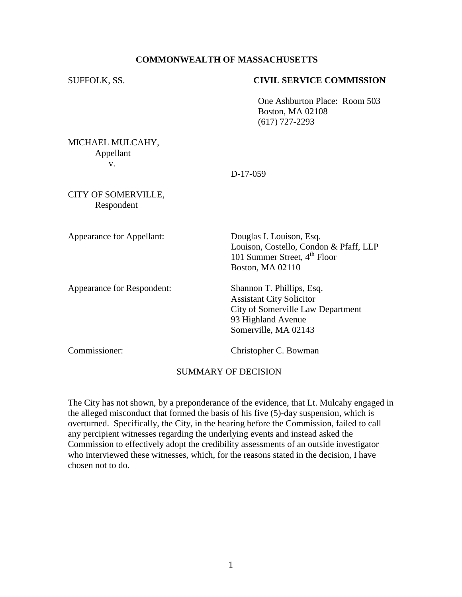# **COMMONWEALTH OF MASSACHUSETTS**

#### SUFFOLK, SS. **CIVIL SERVICE COMMISSION**

One Ashburton Place: Room 503 Boston, MA 02108 (617) 727-2293

MICHAEL MULCAHY, Appellant v.

D-17-059

CITY OF SOMERVILLE, Respondent

Appearance for Appellant: Douglas I. Louison, Esq.

Appearance for Respondent: Shannon T. Phillips, Esq.

Louison, Costello, Condon & Pfaff, LLP 101 Summer Street,  $4<sup>th</sup>$  Floor Boston, MA 02110

Assistant City Solicitor City of Somerville Law Department 93 Highland Avenue Somerville, MA 02143

Commissioner: Christopher C. Bowman

# SUMMARY OF DECISION

The City has not shown, by a preponderance of the evidence, that Lt. Mulcahy engaged in the alleged misconduct that formed the basis of his five (5)-day suspension, which is overturned. Specifically, the City, in the hearing before the Commission, failed to call any percipient witnesses regarding the underlying events and instead asked the Commission to effectively adopt the credibility assessments of an outside investigator who interviewed these witnesses, which, for the reasons stated in the decision, I have chosen not to do.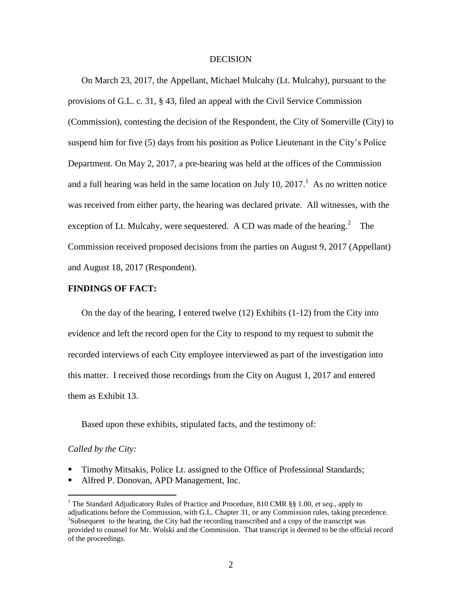#### **DECISION**

On March 23, 2017, the Appellant, Michael Mulcahy (Lt. Mulcahy), pursuant to the provisions of G.L. c. 31, § 43, filed an appeal with the Civil Service Commission (Commission), contesting the decision of the Respondent, the City of Somerville (City) to suspend him for five (5) days from his position as Police Lieutenant in the City's Police Department. On May 2, 2017, a pre-hearing was held at the offices of the Commission and a full hearing was held in the same location on July 10,  $2017<sup>1</sup>$ . As no written notice was received from either party, the hearing was declared private. All witnesses, with the exception of Lt. Mulcahy, were sequestered. A CD was made of the hearing.<sup>2</sup> The Commission received proposed decisions from the parties on August 9, 2017 (Appellant) and August 18, 2017 (Respondent).

## **FINDINGS OF FACT:**

On the day of the hearing, I entered twelve  $(12)$  Exhibits  $(1-12)$  from the City into evidence and left the record open for the City to respond to my request to submit the recorded interviews of each City employee interviewed as part of the investigation into this matter. I received those recordings from the City on August 1, 2017 and entered them as Exhibit 13.

Based upon these exhibits, stipulated facts, and the testimony of:

## *Called by the City:*

 $\overline{a}$ 

- Timothy Mitsakis, Police Lt. assigned to the Office of Professional Standards;
- Alfred P. Donovan, APD Management, Inc.

<sup>1</sup> The Standard Adjudicatory Rules of Practice and Procedure, 810 CMR §§ 1.00, *et seq*., apply to adjudications before the Commission, with G.L. Chapter 31, or any Commission rules, taking precedence.  $2$ Subsequent to the hearing, the City had the recording transcribed and a copy of the transcript was provided to counsel for Mr. Wolski and the Commission. That transcript is deemed to be the official record of the proceedings.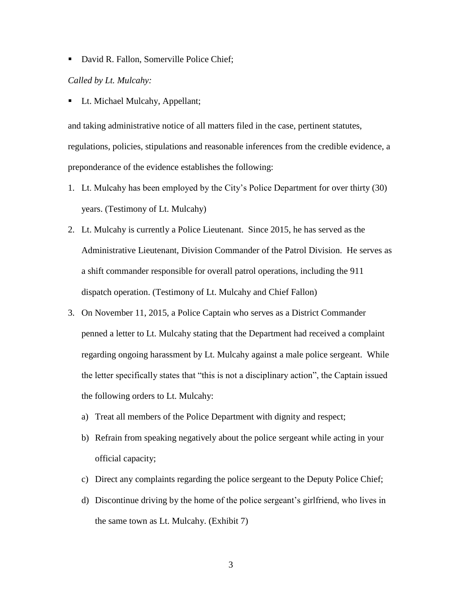• David R. Fallon, Somerville Police Chief;

## *Called by Lt. Mulcahy:*

Lt. Michael Mulcahy, Appellant;

and taking administrative notice of all matters filed in the case, pertinent statutes, regulations, policies, stipulations and reasonable inferences from the credible evidence, a preponderance of the evidence establishes the following:

- 1. Lt. Mulcahy has been employed by the City's Police Department for over thirty (30) years. (Testimony of Lt. Mulcahy)
- 2. Lt. Mulcahy is currently a Police Lieutenant. Since 2015, he has served as the Administrative Lieutenant, Division Commander of the Patrol Division. He serves as a shift commander responsible for overall patrol operations, including the 911 dispatch operation. (Testimony of Lt. Mulcahy and Chief Fallon)
- 3. On November 11, 2015, a Police Captain who serves as a District Commander penned a letter to Lt. Mulcahy stating that the Department had received a complaint regarding ongoing harassment by Lt. Mulcahy against a male police sergeant. While the letter specifically states that "this is not a disciplinary action", the Captain issued the following orders to Lt. Mulcahy:
	- a) Treat all members of the Police Department with dignity and respect;
	- b) Refrain from speaking negatively about the police sergeant while acting in your official capacity;
	- c) Direct any complaints regarding the police sergeant to the Deputy Police Chief;
	- d) Discontinue driving by the home of the police sergeant's girlfriend, who lives in the same town as Lt. Mulcahy. (Exhibit 7)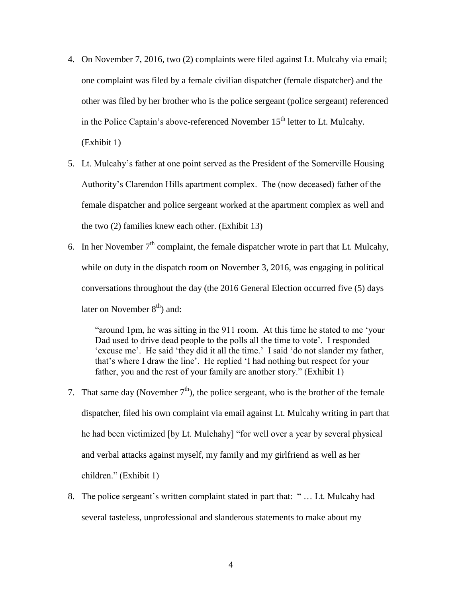- 4. On November 7, 2016, two (2) complaints were filed against Lt. Mulcahy via email; one complaint was filed by a female civilian dispatcher (female dispatcher) and the other was filed by her brother who is the police sergeant (police sergeant) referenced in the Police Captain's above-referenced November  $15<sup>th</sup>$  letter to Lt. Mulcahy. (Exhibit 1)
- 5. Lt. Mulcahy's father at one point served as the President of the Somerville Housing Authority's Clarendon Hills apartment complex. The (now deceased) father of the female dispatcher and police sergeant worked at the apartment complex as well and the two (2) families knew each other. (Exhibit 13)
- 6. In her November  $7<sup>th</sup>$  complaint, the female dispatcher wrote in part that Lt. Mulcahy, while on duty in the dispatch room on November 3, 2016, was engaging in political conversations throughout the day (the 2016 General Election occurred five (5) days later on November  $8<sup>th</sup>$ ) and:

"around 1pm, he was sitting in the 911 room. At this time he stated to me 'your Dad used to drive dead people to the polls all the time to vote'. I responded 'excuse me'. He said 'they did it all the time.' I said 'do not slander my father, that's where I draw the line'. He replied 'I had nothing but respect for your father, you and the rest of your family are another story." (Exhibit 1)

- 7. That same day (November  $7<sup>th</sup>$ ), the police sergeant, who is the brother of the female dispatcher, filed his own complaint via email against Lt. Mulcahy writing in part that he had been victimized [by Lt. Mulchahy] "for well over a year by several physical and verbal attacks against myself, my family and my girlfriend as well as her children." (Exhibit 1)
- 8. The police sergeant's written complaint stated in part that: " … Lt. Mulcahy had several tasteless, unprofessional and slanderous statements to make about my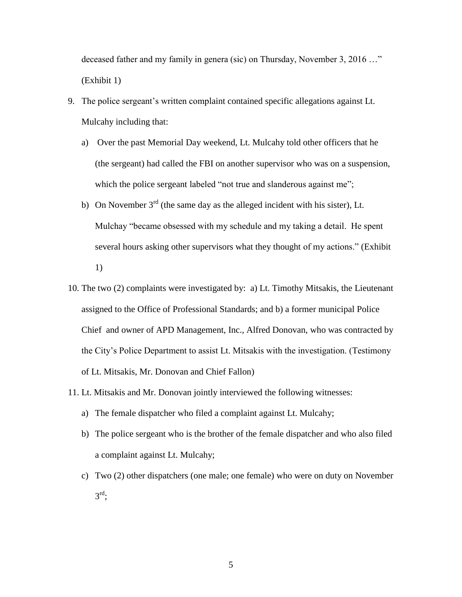deceased father and my family in genera (sic) on Thursday, November 3, 2016 …" (Exhibit 1)

- 9. The police sergeant's written complaint contained specific allegations against Lt. Mulcahy including that:
	- a) Over the past Memorial Day weekend, Lt. Mulcahy told other officers that he (the sergeant) had called the FBI on another supervisor who was on a suspension, which the police sergeant labeled "not true and slanderous against me";
	- b) On November  $3<sup>rd</sup>$  (the same day as the alleged incident with his sister), Lt. Mulchay "became obsessed with my schedule and my taking a detail. He spent several hours asking other supervisors what they thought of my actions." (Exhibit 1)
- 10. The two (2) complaints were investigated by: a) Lt. Timothy Mitsakis, the Lieutenant assigned to the Office of Professional Standards; and b) a former municipal Police Chief and owner of APD Management, Inc., Alfred Donovan, who was contracted by the City's Police Department to assist Lt. Mitsakis with the investigation. (Testimony of Lt. Mitsakis, Mr. Donovan and Chief Fallon)
- 11. Lt. Mitsakis and Mr. Donovan jointly interviewed the following witnesses:
	- a) The female dispatcher who filed a complaint against Lt. Mulcahy;
	- b) The police sergeant who is the brother of the female dispatcher and who also filed a complaint against Lt. Mulcahy;
	- c) Two (2) other dispatchers (one male; one female) who were on duty on November  $3^{\text{rd}}$ ;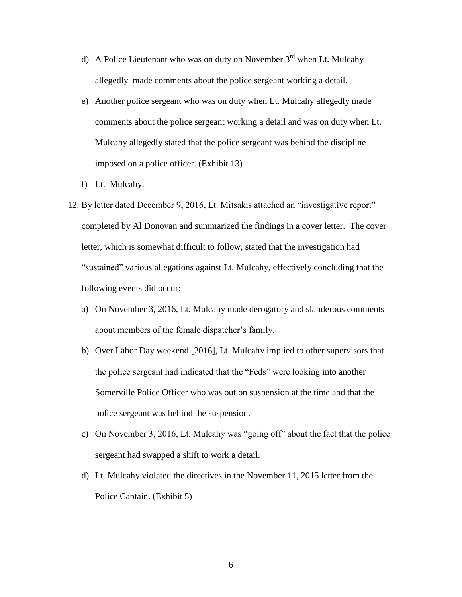- d) A Police Lieutenant who was on duty on November  $3<sup>rd</sup>$  when Lt. Mulcahy allegedly made comments about the police sergeant working a detail.
- e) Another police sergeant who was on duty when Lt. Mulcahy allegedly made comments about the police sergeant working a detail and was on duty when Lt. Mulcahy allegedly stated that the police sergeant was behind the discipline imposed on a police officer. (Exhibit 13)
- f) Lt. Mulcahy.
- 12. By letter dated December 9, 2016, Lt. Mitsakis attached an "investigative report" completed by Al Donovan and summarized the findings in a cover letter. The cover letter, which is somewhat difficult to follow, stated that the investigation had "sustained" various allegations against Lt. Mulcahy, effectively concluding that the following events did occur:
	- a) On November 3, 2016, Lt. Mulcahy made derogatory and slanderous comments about members of the female dispatcher's family.
	- b) Over Labor Day weekend [2016], Lt. Mulcahy implied to other supervisors that the police sergeant had indicated that the "Feds" were looking into another Somerville Police Officer who was out on suspension at the time and that the police sergeant was behind the suspension.
	- c) On November 3, 2016, Lt. Mulcahy was "going off" about the fact that the police sergeant had swapped a shift to work a detail.
	- d) Lt. Mulcahy violated the directives in the November 11, 2015 letter from the Police Captain. (Exhibit 5)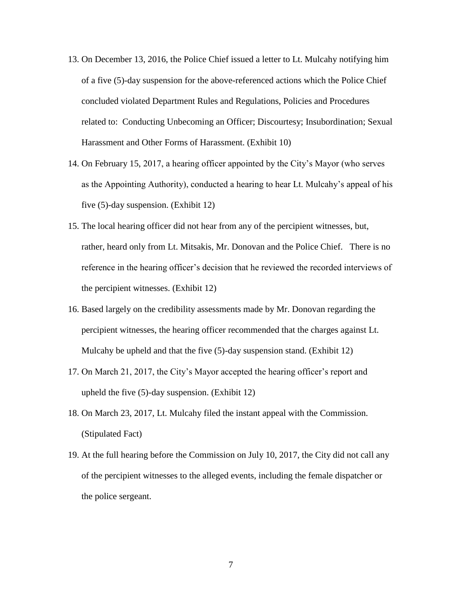- 13. On December 13, 2016, the Police Chief issued a letter to Lt. Mulcahy notifying him of a five (5)-day suspension for the above-referenced actions which the Police Chief concluded violated Department Rules and Regulations, Policies and Procedures related to: Conducting Unbecoming an Officer; Discourtesy; Insubordination; Sexual Harassment and Other Forms of Harassment. (Exhibit 10)
- 14. On February 15, 2017, a hearing officer appointed by the City's Mayor (who serves as the Appointing Authority), conducted a hearing to hear Lt. Mulcahy's appeal of his five (5)-day suspension. (Exhibit 12)
- 15. The local hearing officer did not hear from any of the percipient witnesses, but, rather, heard only from Lt. Mitsakis, Mr. Donovan and the Police Chief. There is no reference in the hearing officer's decision that he reviewed the recorded interviews of the percipient witnesses. (Exhibit 12)
- 16. Based largely on the credibility assessments made by Mr. Donovan regarding the percipient witnesses, the hearing officer recommended that the charges against Lt. Mulcahy be upheld and that the five (5)-day suspension stand. (Exhibit 12)
- 17. On March 21, 2017, the City's Mayor accepted the hearing officer's report and upheld the five (5)-day suspension. (Exhibit 12)
- 18. On March 23, 2017, Lt. Mulcahy filed the instant appeal with the Commission. (Stipulated Fact)
- 19. At the full hearing before the Commission on July 10, 2017, the City did not call any of the percipient witnesses to the alleged events, including the female dispatcher or the police sergeant.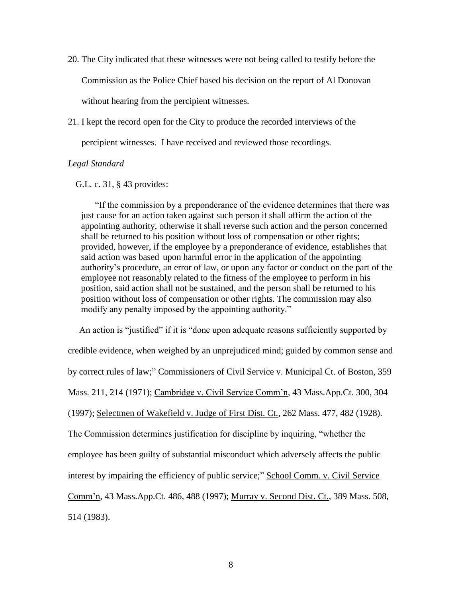- 20. The City indicated that these witnesses were not being called to testify before the Commission as the Police Chief based his decision on the report of Al Donovan without hearing from the percipient witnesses.
- 21. I kept the record open for the City to produce the recorded interviews of the

percipient witnesses. I have received and reviewed those recordings.

# *Legal Standard*

#### G.L. c. 31, § 43 provides:

"If the commission by a preponderance of the evidence determines that there was just cause for an action taken against such person it shall affirm the action of the appointing authority, otherwise it shall reverse such action and the person concerned shall be returned to his position without loss of compensation or other rights; provided, however, if the employee by a preponderance of evidence, establishes that said action was based upon harmful error in the application of the appointing authority's procedure, an error of law, or upon any factor or conduct on the part of the employee not reasonably related to the fitness of the employee to perform in his position, said action shall not be sustained, and the person shall be returned to his position without loss of compensation or other rights. The commission may also modify any penalty imposed by the appointing authority."

 An action is "justified" if it is "done upon adequate reasons sufficiently supported by credible evidence, when weighed by an unprejudiced mind; guided by common sense and by correct rules of law;" Commissioners of Civil Service v. Municipal Ct. of Boston, 359 Mass. 211, 214 (1971); Cambridge v. Civil Service Comm'n, 43 Mass.App.Ct. 300, 304 (1997); Selectmen of Wakefield v. Judge of First Dist. Ct., 262 Mass. 477, 482 (1928). The Commission determines justification for discipline by inquiring, "whether the employee has been guilty of substantial misconduct which adversely affects the public interest by impairing the efficiency of public service;" School Comm. v. Civil Service Comm'n, 43 Mass.App.Ct. 486, 488 (1997); Murray v. Second Dist. Ct., 389 Mass. 508, 514 (1983).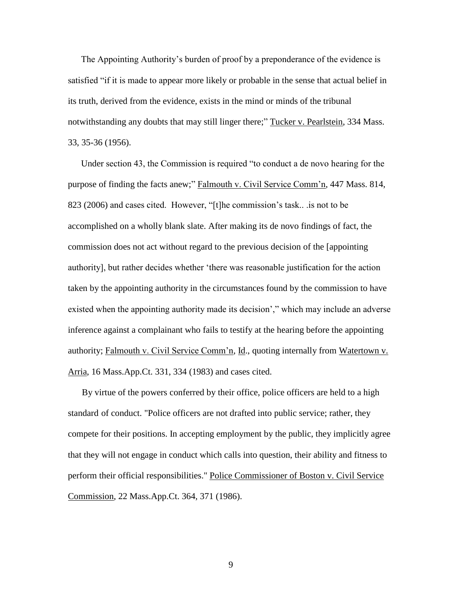The Appointing Authority's burden of proof by a preponderance of the evidence is satisfied "if it is made to appear more likely or probable in the sense that actual belief in its truth, derived from the evidence, exists in the mind or minds of the tribunal notwithstanding any doubts that may still linger there;" Tucker v. Pearlstein, 334 Mass. 33, 35-36 (1956).

Under section 43, the Commission is required "to conduct a de novo hearing for the purpose of finding the facts anew;" Falmouth v. Civil Service Comm'n, 447 Mass. 814, 823 (2006) and cases cited. However, "[t]he commission's task.. .is not to be accomplished on a wholly blank slate. After making its de novo findings of fact, the commission does not act without regard to the previous decision of the [appointing authority], but rather decides whether 'there was reasonable justification for the action taken by the appointing authority in the circumstances found by the commission to have existed when the appointing authority made its decision'," which may include an adverse inference against a complainant who fails to testify at the hearing before the appointing authority; Falmouth v. Civil Service Comm'n, Id., quoting internally from Watertown v. Arria, 16 Mass.App.Ct. 331, 334 (1983) and cases cited.

By virtue of the powers conferred by their office, police officers are held to a high standar[d](http://sll.gvpi.net/document.php?id=csc:csc14k-46&type=hitlist&num=15#hit5) of conduct. "Police officers are not drafted into public service; rather, they compete for their positions. In accepting employment by the public, they implicitly agree that they will not engage in conduct which calls into question, their ability and fitness to perform their official responsibilities." Police Commissioner of Boston v. Civil Service Commission, 22 Mass.App.Ct. 364, 371 (1986).

9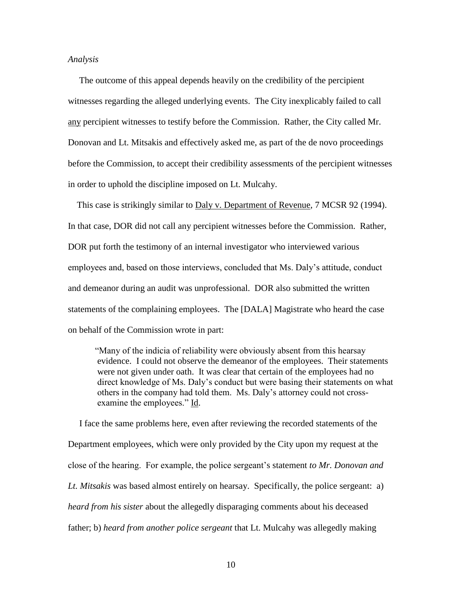#### *Analysis*

 The outcome of this appeal depends heavily on the credibility of the percipient witnesses regarding the alleged underlying events. The City inexplicably failed to call any percipient witnesses to testify before the Commission. Rather, the City called Mr. Donovan and Lt. Mitsakis and effectively asked me, as part of the de novo proceedings before the Commission, to accept their credibility assessments of the percipient witnesses in order to uphold the discipline imposed on Lt. Mulcahy.

This case is strikingly similar to Daly v. Department of Revenue, 7 MCSR 92 (1994). In that case, DOR did not call any percipient witnesses before the Commission. Rather, DOR put forth the testimony of an internal investigator who interviewed various employees and, based on those interviews, concluded that Ms. Daly's attitude, conduct and demeanor during an audit was unprofessional. DOR also submitted the written statements of the complaining employees. The [DALA] Magistrate who heard the case on behalf of the Commission wrote in part:

"Many of the indicia of reliability were obviously absent from this hearsay evidence. I could not observe the demeanor of the employees. Their statements were not given under oath. It was clear that certain of the employees had no direct knowledge of Ms. Daly's conduct but were basing their statements on what others in the company had told them. Ms. Daly's attorney could not crossexamine the employees." Id.

 I face the same problems here, even after reviewing the recorded statements of the Department employees, which were only provided by the City upon my request at the close of the hearing. For example, the police sergeant's statement *to Mr. Donovan and Lt. Mitsakis* was based almost entirely on hearsay. Specifically, the police sergeant: a) *heard from his sister* about the allegedly disparaging comments about his deceased father; b) *heard from another police sergeant* that Lt. Mulcahy was allegedly making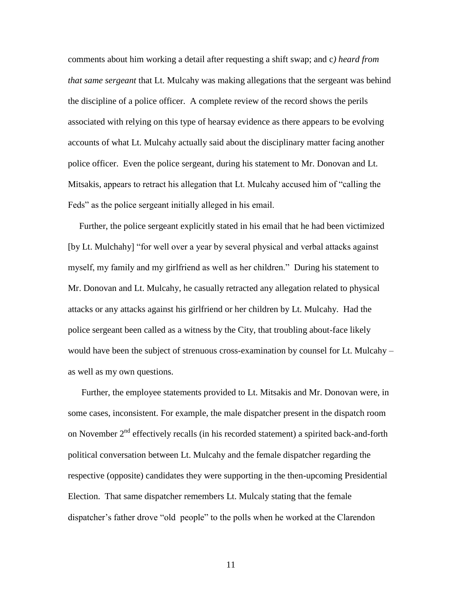comments about him working a detail after requesting a shift swap; and c*) heard from that same sergeant* that Lt. Mulcahy was making allegations that the sergeant was behind the discipline of a police officer. A complete review of the record shows the perils associated with relying on this type of hearsay evidence as there appears to be evolving accounts of what Lt. Mulcahy actually said about the disciplinary matter facing another police officer. Even the police sergeant, during his statement to Mr. Donovan and Lt. Mitsakis, appears to retract his allegation that Lt. Mulcahy accused him of "calling the Feds" as the police sergeant initially alleged in his email.

 Further, the police sergeant explicitly stated in his email that he had been victimized [by Lt. Mulchahy] "for well over a year by several physical and verbal attacks against myself, my family and my girlfriend as well as her children." During his statement to Mr. Donovan and Lt. Mulcahy, he casually retracted any allegation related to physical attacks or any attacks against his girlfriend or her children by Lt. Mulcahy. Had the police sergeant been called as a witness by the City, that troubling about-face likely would have been the subject of strenuous cross-examination by counsel for Lt. Mulcahy – as well as my own questions.

 Further, the employee statements provided to Lt. Mitsakis and Mr. Donovan were, in some cases, inconsistent. For example, the male dispatcher present in the dispatch room on November 2<sup>nd</sup> effectively recalls (in his recorded statement) a spirited back-and-forth political conversation between Lt. Mulcahy and the female dispatcher regarding the respective (opposite) candidates they were supporting in the then-upcoming Presidential Election. That same dispatcher remembers Lt. Mulcaly stating that the female dispatcher's father drove "old people" to the polls when he worked at the Clarendon

11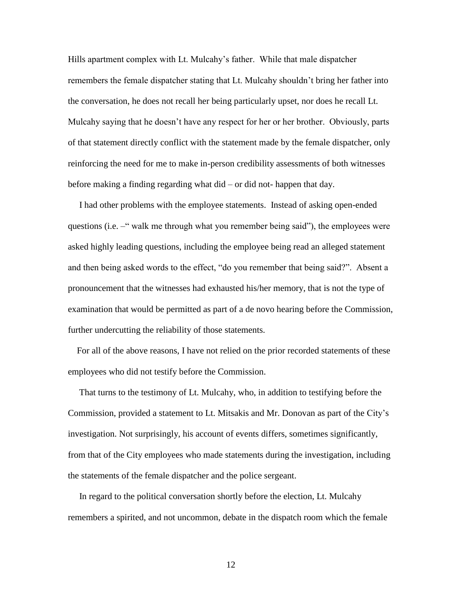Hills apartment complex with Lt. Mulcahy's father. While that male dispatcher remembers the female dispatcher stating that Lt. Mulcahy shouldn't bring her father into the conversation, he does not recall her being particularly upset, nor does he recall Lt. Mulcahy saying that he doesn't have any respect for her or her brother. Obviously, parts of that statement directly conflict with the statement made by the female dispatcher, only reinforcing the need for me to make in-person credibility assessments of both witnesses before making a finding regarding what did – or did not- happen that day.

 I had other problems with the employee statements. Instead of asking open-ended questions (i.e. –" walk me through what you remember being said"), the employees were asked highly leading questions, including the employee being read an alleged statement and then being asked words to the effect, "do you remember that being said?". Absent a pronouncement that the witnesses had exhausted his/her memory, that is not the type of examination that would be permitted as part of a de novo hearing before the Commission, further undercutting the reliability of those statements.

 For all of the above reasons, I have not relied on the prior recorded statements of these employees who did not testify before the Commission.

 That turns to the testimony of Lt. Mulcahy, who, in addition to testifying before the Commission, provided a statement to Lt. Mitsakis and Mr. Donovan as part of the City's investigation. Not surprisingly, his account of events differs, sometimes significantly, from that of the City employees who made statements during the investigation, including the statements of the female dispatcher and the police sergeant.

 In regard to the political conversation shortly before the election, Lt. Mulcahy remembers a spirited, and not uncommon, debate in the dispatch room which the female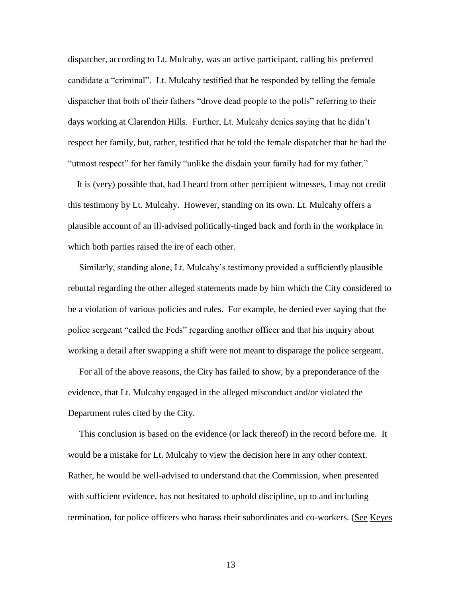dispatcher, according to Lt. Mulcahy, was an active participant, calling his preferred candidate a "criminal". Lt. Mulcahy testified that he responded by telling the female dispatcher that both of their fathers "drove dead people to the polls" referring to their days working at Clarendon Hills. Further, Lt. Mulcahy denies saying that he didn't respect her family, but, rather, testified that he told the female dispatcher that he had the "utmost respect" for her family "unlike the disdain your family had for my father."

 It is (very) possible that, had I heard from other percipient witnesses, I may not credit this testimony by Lt. Mulcahy. However, standing on its own. Lt. Mulcahy offers a plausible account of an ill-advised politically-tinged back and forth in the workplace in which both parties raised the ire of each other.

 Similarly, standing alone, Lt. Mulcahy's testimony provided a sufficiently plausible rebuttal regarding the other alleged statements made by him which the City considered to be a violation of various policies and rules. For example, he denied ever saying that the police sergeant "called the Feds" regarding another officer and that his inquiry about working a detail after swapping a shift were not meant to disparage the police sergeant.

 For all of the above reasons, the City has failed to show, by a preponderance of the evidence, that Lt. Mulcahy engaged in the alleged misconduct and/or violated the Department rules cited by the City.

 This conclusion is based on the evidence (or lack thereof) in the record before me. It would be a mistake for Lt. Mulcahy to view the decision here in any other context. Rather, he would be well-advised to understand that the Commission, when presented with sufficient evidence, has not hesitated to uphold discipline, up to and including termination, for police officers who harass their subordinates and co-workers. (See Keyes

13